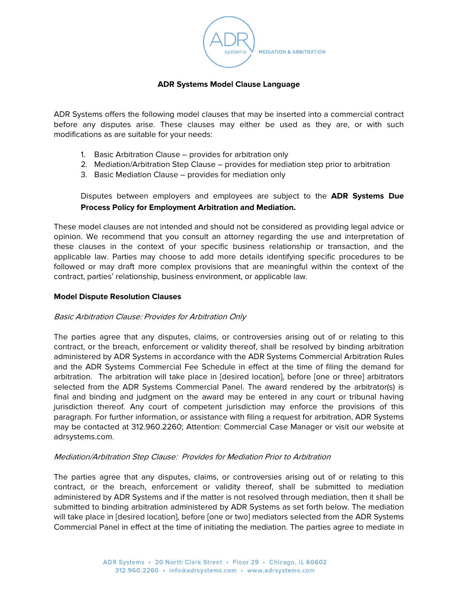

### **ADR Systems Model Clause Language**

ADR Systems offers the following model clauses that may be inserted into a commercial contract before any disputes arise. These clauses may either be used as they are, or with such modifications as are suitable for your needs:

- 1. Basic Arbitration Clause provides for arbitration only
- 2. Mediation/Arbitration Step Clause provides for mediation step prior to arbitration
- 3. Basic Mediation Clause provides for mediation only

Disputes between employers and employees are subject to the **ADR Systems Due Process Policy for Employment Arbitration and Mediation.**

These model clauses are not intended and should not be considered as providing legal advice or opinion. We recommend that you consult an attorney regarding the use and interpretation of these clauses in the context of your specific business relationship or transaction, and the applicable law. Parties may choose to add more details identifying specific procedures to be followed or may draft more complex provisions that are meaningful within the context of the contract, parties' relationship, business environment, or applicable law.

### **Model Dispute Resolution Clauses**

# Basic Arbitration Clause: Provides for Arbitration Only

The parties agree that any disputes, claims, or controversies arising out of or relating to this contract, or the breach, enforcement or validity thereof, shall be resolved by binding arbitration administered by ADR Systems in accordance with the ADR Systems Commercial Arbitration Rules and the ADR Systems Commercial Fee Schedule in effect at the time of filing the demand for arbitration. The arbitration will take place in [desired location], before [one or three] arbitrators selected from the ADR Systems Commercial Panel. The award rendered by the arbitrator(s) is final and binding and judgment on the award may be entered in any court or tribunal having jurisdiction thereof. Any court of competent jurisdiction may enforce the provisions of this paragraph. For further information, or assistance with filing a request for arbitration, ADR Systems may be contacted at 312.960.2260; Attention: Commercial Case Manager or visit our website at adrsystems.com.

# Mediation/Arbitration Step Clause: Provides for Mediation Prior to Arbitration

The parties agree that any disputes, claims, or controversies arising out of or relating to this contract, or the breach, enforcement or validity thereof, shall be submitted to mediation administered by ADR Systems and if the matter is not resolved through mediation, then it shall be submitted to binding arbitration administered by ADR Systems as set forth below. The mediation will take place in [desired location], before [one or two] mediators selected from the ADR Systems Commercial Panel in effect at the time of initiating the mediation. The parties agree to mediate in